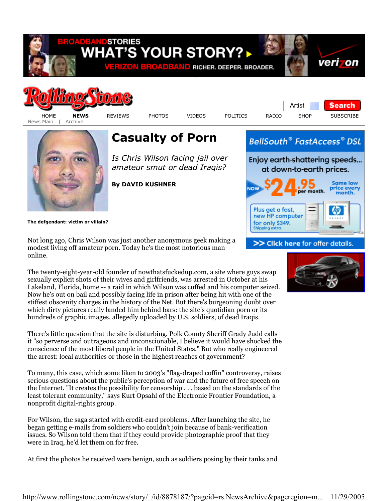



News Main | Archive

HOME **NEWS** REVIEWS PHOTOS VIDEOS POLITICS RADIO SHOP SUBSCRIBE

Artist

**Search** 



## **Casualty of Porn**

*Is Chris Wilson facing jail over amateur smut or dead Iraqis?* 

**By DAVID KUSHNER**



**The defgendant: victim or villain?**

Not long ago, Chris Wilson was just another anonymous geek making a modest living off amateur porn. Today he's the most notorious man online.

The twenty-eight-year-old founder of nowthatsfuckedup.com, a site where guys swap sexually explicit shots of their wives and girlfriends, was arrested in October at his Lakeland, Florida, home -- a raid in which Wilson was cuffed and his computer seized. Now he's out on bail and possibly facing life in prison after being hit with one of the stiffest obscenity charges in the history of the Net. But there's burgeoning doubt over which dirty pictures really landed him behind bars: the site's quotidian porn or its hundreds of graphic images, allegedly uploaded by U.S. soldiers, of dead Iraqis.

There's little question that the site is disturbing. Polk County Sheriff Grady Judd calls it "so perverse and outrageous and unconscionable, I believe it would have shocked the conscience of the most liberal people in the United States." But who really engineered the arrest: local authorities or those in the highest reaches of government?

To many, this case, which some liken to 2003's "flag-draped coffin" controversy, raises serious questions about the public's perception of war and the future of free speech on the Internet. "It creates the possibility for censorship . . . based on the standards of the least tolerant community," says Kurt Opsahl of the Electronic Frontier Foundation, a nonprofit digital-rights group.

For Wilson, the saga started with credit-card problems. After launching the site, he began getting e-mails from soldiers who couldn't join because of bank-verification issues. So Wilson told them that if they could provide photographic proof that they were in Iraq, he'd let them on for free.

At first the photos he received were benign, such as soldiers posing by their tanks and